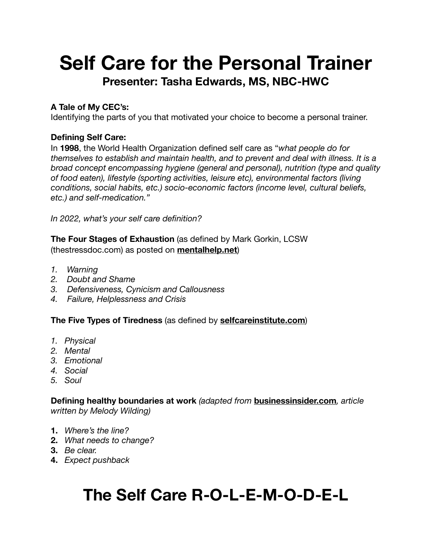# **Self Care for the Personal Trainer Presenter: Tasha Edwards, MS, NBC-HWC**

## **A Tale of My CEC's:**

Identifying the parts of you that motivated your choice to become a personal trainer.

### **Defining Self Care:**

In **1998**, the World Health Organization defined self care as "*what people do for themselves to establish and maintain health, and to prevent and deal with illness. It is a broad concept encompassing hygiene (general and personal), nutrition (type and quality of food eaten), lifestyle (sporting activities, leisure etc), environmental factors (living conditions, social habits, etc.) socio-economic factors (income level, cultural beliefs, etc.) and self-medication."* 

*In 2022, what's your self care definition?* 

**The Four Stages of Exhaustion** (as defined by Mark Gorkin, LCSW (thestressdoc.com) as posted on **[mentalhelp.net](http://mentalhelp.net)**)

- *1. Warning*
- *2. Doubt and Shame*
- *3. Defensiveness, Cynicism and Callousness*
- *4. Failure, Helplessness and Crisis*

### **The Five Types of Tiredness** (as defined by **[selfcareinstitute.com](http://selfcareinstitute.com)**)

- *1. Physical*
- *2. Mental*
- *3. Emotional*
- *4. Social*
- *5. Soul*

**Defining healthy boundaries at work** *(adapted from* **[businessinsider.com](http://businessinsider.com)***, article written by Melody Wilding)* 

- **1.** *Where's the line?*
- **2.** *What needs to change?*
- **3.** *Be clear.*
- **4.** *Expect pushback*

# **The Self Care R-O-L-E-M-O-D-E-L**